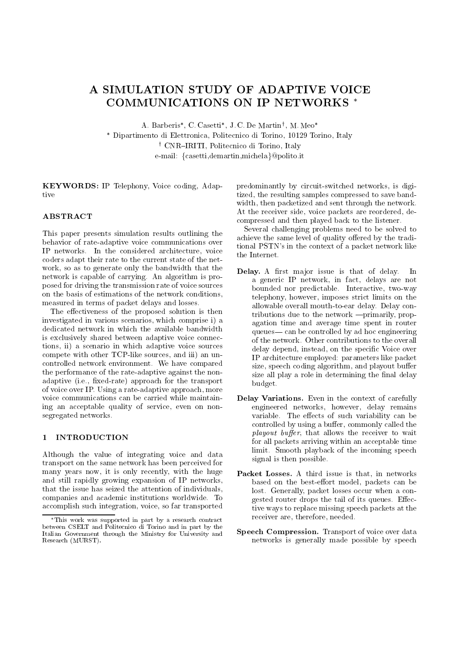# A SIMULATION STUDY OF ADAPTIVE VOICE COMMUNICATIONS ON IP NETWORKS

A. Barberis , C. Casetti , J. C. De Martiny , M. Meo

 Dipartimento di Elettronica, Politecnico di Torino, 10129 Torino, Italy y Civin—Inititi, Politecnico di Torino, Italy e-mail: {casetti,demartin,michela}@polito.it

KEYWORDS: IP Telephony, Voice coding, Adaptive

### **ABSTRACT**

This paper presents simulation results outlining the behavior of rate-adaptive voice communications over IP networks. In the considered architecture, voice coders adapt their rate to the current state of the net work, so as to generate only the bandwidth that the network is capable of carrying. An algorithm is proposed for driving the transmission rate of voice sources on the basis of estimations of the network conditions, measured in terms of packet delays and losses.

The effectiveness of the proposed solution is then investigated in various scenarios, which comprise i) a dedicated network in which the available bandwidth is exclusively shared between adaptive voice connections, ii) a scenario in which adaptive voice sources compete with other TCP-like sources, and iii) an uncontrolled network environment. We have compared the performance of the rate-adaptive against the nonadaptive (i.e., fixed-rate) approach for the transport of voice over IP. Using a rate-adaptive approach, more voice communications can be carried while maintaining an acceptable quality of service, even on nonsegregated networks.

#### **INTRODUCTION**  $\blacksquare$

Although the value of integrating voice and data transport on the same network has been perceived for many years now, it is only recently, with the huge and still rapidly growing expansion of IP networks, that the issue has seized the attention of individuals, companies and academic institutions worldwide. To accomplish such integration, voice, so far transported

predominantly by circuit-switched networks, is digitized, the resulting samples compressed to save bandwidth, then packetized and sent through the network. At the receiver side, voice packets are reordered, decompressed and then played back to the listener.

Several challenging problems need to be solved to achieve the same level of quality offered by the traditional PSTN's in the context of a packet network like the Internet.

- Delay. A first major issue is that of delay. **In** a generic IP network, in fact, delays are not bounded nor predictable. Interactive, two-way telephony, however, imposes strict limits on the allowable overall mouth-to-ear delay. Delay con $tributions due to the network —primarily, prop$ agation time and average time spent in router queues— can be controlled by ad hoc engineering of the network. Other contributions to the overall delay depend, instead, on the specific Voice over IP architecture employed: parameters like packet size, speech coding algorithm, and playout buffer size all play a role in determining the final delay budget.
- Delay Variations. Even in the context of carefully engineered networks, however, delay remains variable. The effects of such variability can be controlled by using a buffer, commonly called the  $playout buffer, that allows the receiver to wait$ for all packets arriving within an acceptable time limit. Smooth playback of the incoming speech signal is then possible.
- Packet Losses. A third issue is that, in networks based on the best-effort model, packets can be lost. Generally, packet losses occur when a congested router drops the tail of its queues. Effective ways to replace missing speech packets at the receiver are, therefore, needed.
- Speech Compression. Transport of voice over data networks is generally made possible by speech

This work was supported in part by a research contract between CSELT and Politecnico di Torino and in part by the Italian Government through the Ministry for University and Research (MURST).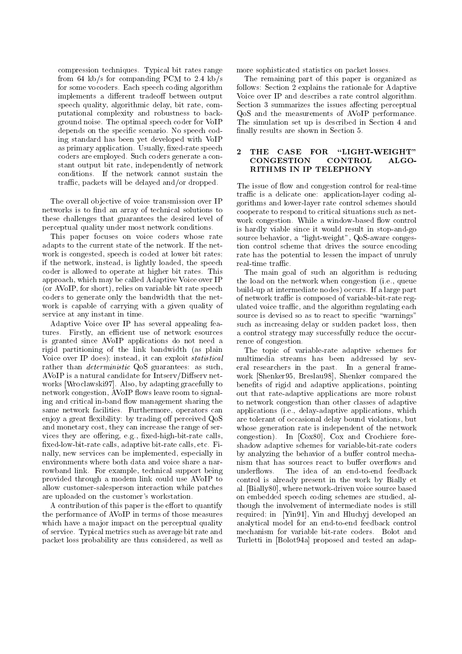compression techniques. Typical bit rates range from 64 kb/s for companding PCM to 2.4 kb/s for some vocoders. Each speech coding algorithm implements a different tradeoff between output speech quality, algorithmic delay, bit rate, computational complexity and robustness to background noise. The optimal speech coder for VoIP depends on the specific scenario. No speech coding standard has been yet developed with VoIP as primary application. Usually, fixed-rate speech  $\overline{2}$  THE CASE FOR coders are employed. Such coders generate a constant output bit rate, independently of network conditions. If the network cannot sustain the traffic, packets will be delayed and/or dropped.

The overall ob jective of voice transmission over IP networks is to find an array of technical solutions to these challenges that guarantees the desired level of perceptual quality under most network conditions.

This paper focuses on voice coders whose rate adapts to the current state of the network. If the net work is congested, speech is coded at lower bit rates; if the network, instead, is lightly loaded, the speech coder is allowed to operate at higher bit rates. This approach, which may be called Adaptive Voice over IP (or AVoIP, for short), relies on variable bit rate speech coders to generate only the bandwidth that the net work is capable of carrying with a given quality of service at any instant in time.

Adaptive Voice over IP has several appealing features. Firstly, an efficient use of network esources is granted since AVoIP applications do not need a rigid partitioning of the link bandwidth (as plain Voice over IP does); instead, it can exploit statistical rather than *deterministic* QoS guarantees: as such, AVoIP is a natural candidate for  $Intserv/Diffserv$  networks [Wroclawski97]. Also, by adapting gracefully to network congestion, AVoIP flows leave room to signaling and critical in-band flow management sharing the same network facilities. Furthermore, operators can enjoy a great flexibility: by trading off perceived QoS and monetary cost, they can increase the range of services they are offering, e.g., fixed-high-bit-rate calls, xed-low-bit-rate calls, adaptive bit-rate calls, etc. Finally, new services can be implemented, especially in environments where both data and voice share a narrowband link. For example, technical support being underflows. provided through a modem link could use AVoIP to allow customer-salesperson interaction while patches are uploaded on the customer's workstation.

A contribution of this paper is the effort to quantify the performance of AVoIP in terms of those measures which have a major impact on the perceptual quality of service. Typical metrics such as average bit rate and packet loss probability are thus considered, as well as more sophisticated statistics on packet losses.

The remaining part of this paper is organized as follows: Section 2 explains the rationale for Adaptive Voice over IP and describes a rate control algorithm. Section 3 summarizes the issues affecting perceptual QoS and the measurements of AVoIP performance. The simulation set up is described in Section 4 and finally results are shown in Section 5.

#### $"$ LIGHT-WEIGHT" CONGESTION CONTROL  $A<sub>L</sub>$  GO-RITHMS IN IP TELEPHONY

The issue of flow and congestion control for real-time traffic is a delicate one: application-layer coding algorithms and lower-layer rate control schemes should cooperate to respond to critical situations such as net work congestion. While a window-based flow control is hardly viable since it would result in stop-and-go source behavior, a "light-weight", QoS-aware congestion control scheme that drives the source encoding rate has the potential to lessen the impact of unruly real-time traffic.

The main goal of such an algorithm is reducing the load on the network when congestion (i.e., queue build-up at intermediate nodes) occurs. If a large part of network traffic is composed of variable-bit-rate regulated voice traffic, and the algorithm regulating each source is devised so as to react to specific "warnings" such as increasing delay or sudden packet loss, then a control strategy may successfully reduce the occurrence of congestion.

The topic of variable-rate adaptive schemes for multimedia streams has been addressed by several researchers in the past. In a general frame work [Shenker95, Breslau98], Shenker compared the benefits of rigid and adaptive applications, pointing out that rate-adaptive applications are more robust to network congestion than other classes of adaptive applications (i.e., delay-adaptive applications, which are tolerant of occasional delay bound violations, but whose generation rate is independent of the network congestion). In [Cox80], Cox and Crochiere foreshadow adaptive schemes for variable-bit-rate coders by analyzing the behavior of a buffer control mechanism that has sources react to buffer overflows and The idea of an end-to-end feedback control is already present in the work by Bially et al. [Bially80], where network-driven voice source based on embedded speech coding schemes are studied, although the involvement of intermediate nodes is still required; in [Yin91], Yin and Hluchyj developed an analytical model for an end-to-end feedback control mechanism for variable bit-rate coders. Bolot and Turletti in [Bolot94a] proposed and tested an adap-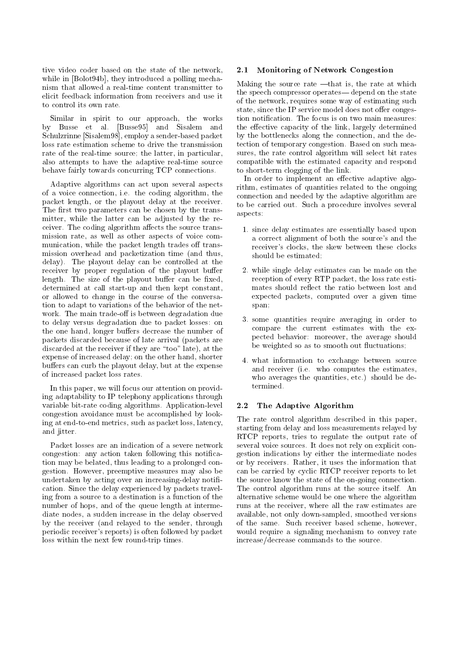tive video coder based on the state of the network, 2.1 while in [Bolot94b], they introduced a polling mechanism that allowed a real-time content transmitter to elicit feedback information from receivers and use it to control its own rate.

Similar in spirit to our approach, the works by Busse et al. [Busse95] and Sisalem and Schulzrinne [Sisalem98], employ a sender-based packet loss rate estimation scheme to drive the transmission rate of the real-time source; the latter, in particular, also attempts to have the adaptive real-time source behave fairly towards concurring TCP connections.

Adaptive algorithms can act upon several aspects of a voice connection, i.e. the coding algorithm, the packet length, or the playout delay at the receiver. The first two parameters can be chosen by the transmitter, while the latter can be adjusted by the receiver. The coding algorithm affects the source transmission rate, as well as other aspects of voice com munication, while the packet length trades off transmission overhead and packetization time (and thus, delay). The playout delay can be controlled at the receiver by proper regulation of the playout buffer length. The size of the playout buffer can be fixed, determined at call start-up and then kept constant, or allowed to change in the course of the conversation to adapt to variations of the behavior of the net work. The main trade-off is between degradation due to delay versus degradation due to packet losses: on the one hand, longer buffers decrease the number of packets discarded because of late arrival (packets are discarded at the receiver if they are "too" late), at the expense of increased delay; on the other hand, shorter buffers can curb the playout delay, but at the expense of increased packet loss rates.

In this paper, we will focus our attention on providing adaptability to IP telephony applications through variable bit-rate coding algorithms. Application-level 2.2 congestion avoidance must be accomplished by looking at end-to-end metrics, such as packet loss, latency, and jitter.

Packet losses are an indication of a severe network congestion: any action taken following this notication may be belated, thus leading to a prolonged congestion. However, preemptive measures may also be undertaken by acting over an increasing-delay notification. Since the delay experienced by packets traveling from a source to a destination is a function of the number of hops, and of the queue length at intermediate nodes, a sudden increase in the delay observed by the receiver (and relayed to the sender, through periodic receiver's reports) is often followed by packet loss within the next few round-trip times.

### Monitoring of Network Congestion

Making the source rate  $-\text{that}$  is, the rate at which the speech compressor operates—depend on the state of the network, requires some way of estimating such state, since the IP service model does not offer congestion notification. The focus is on two main measures: the effective capacity of the link, largely determined by the bottlenecks along the connection, and the detection of temporary congestion. Based on such measures, the rate control algorithm will select bit rates compatible with the estimated capacity and respond to short-term clogging of the link.

In order to implement an effective adaptive algorithm, estimates of quantities related to the ongoing connection and needed by the adaptive algorithm are to be carried out. Such a procedure involves several aspects:

- 1. since delay estimates are essentially based upon a correct alignment of both the source's and the receiver's clocks, the skew between these clocks should be estimated;
- 2. while single delay estimates can be made on the reception of every RTP packet, the loss rate estimates should reflect the ratio between lost and expected packets, computed over a given time span;
- 3. some quantities require averaging in order to compare the current estimates with the expected behavior: moreover, the average should be weighted so as to smooth out fluctuations;
- 4. what information to exchange between source and receiver (i.e. who computes the estimates, who averages the quantities, etc.) should be determined.

## The Adaptive Algorithm

The rate control algorithm described in this paper, starting from delay and loss measurements relayed by RTCP reports, tries to regulate the output rate of several voice sources. It does not rely on explicit congestion indications by either the intermediate nodes or by receivers. Rather, it uses the information that can be carried by cyclic RTCP receiver reports to let the source know the state of the on-going connection. The control algorithm runs at the source itself. An alternative scheme would be one where the algorithm runs at the receiver, where all the raw estimates are available, not only down-sampled, smoothed versions of the same. Such receiver based scheme, however, would require a signaling mechanism to convey rate increase/decrease commands to the source.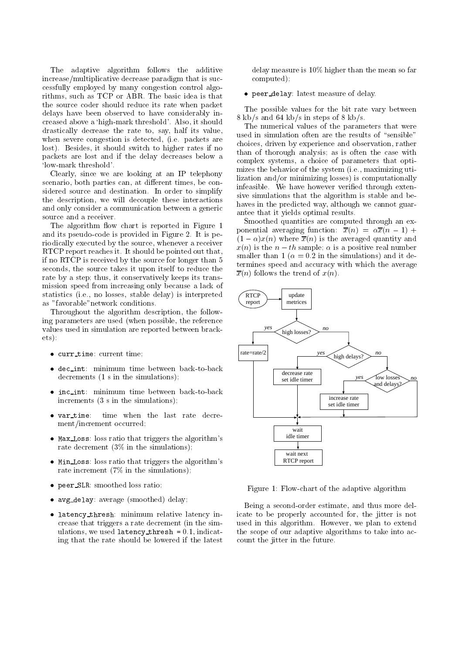The adaptive algorithm follows the additive increase/multiplicative decrease paradigm that is successfully employed by many congestion control algorithms, such as TCP or ABR. The basic idea is that the source coder should reduce its rate when packet delays have been observed to have considerably increased above a `high-mark threshold'. Also, it should drastically decrease the rate to, say, half its value, when severe congestion is detected, (i.e. packets are lost). Besides, it should switch to higher rates if no packets are lost and if the delay decreases below a `low-mark threshold'.

Clearly, since we are looking at an IP telephony scenario, both parties can, at different times, be considered source and destination. In order to simplify the description, we will decouple these interactions and only consider a communication between a generic source and a receiver.

The algorithm flow chart is reported in Figure 1 and its pseudo-code is provided in Figure 2. It is periodically executed by the source, whenever a receiver RTCP report reaches it. It should be pointed out that, if no RTCP is received by the source for longer than 5 seconds, the source takes it upon itself to reduce the rate by a step; thus, it conservatively keeps its transmission speed from increasing only because a lack of statistics (i.e., no losses, stable delay) is interpreted as "favorable"network conditions.

Throughout the algorithm description, the following parameters are used (when possible, the reference values used in simulation are reported between brack $ets):$ ets): et al. et al. et al. et al. et al. et al. et al. et al. et al. et al. et al. et al. et al. et al. et al.

- current time; current time;
- · dec\_int: minimum time between back-to-back decrements (1 s in the simulations);
- inc int: minimum time between back-to-back increments (3 s in the simulations);
- time when the last rate decre-• var\_time: \_\_\_\_\_\_\_ ment/increment occurred;
- $\bullet$  Max Loss: loss ratio that triggers the algorithm's rate decrement (3% in the simulations);
- $\bullet$  Min Loss: loss ratio that triggers the algorithm's rate increment (7% in the simulations);
- $\mathbf{r}$  smoothed loss ratio; smoothed loss ratio; smoothed loss ratio; smoothed loss ratio; smoothed loss ratio; smoothed loss ratio; smoothed loss ratio; smoothed loss ratio; smoothed loss ratio; smoothed loss ratio; sm
- $\mathcal{L}$  delays delay: average (smoothed) delay;
- · latency\_thresh: minimum relative latency increase that triggers a rate decrement (in the simulations, we used  $latency\_thresh = 0.1$ , indicating that the rate should be lowered if the latest co

delay measure is 10% higher than the mean so far computed);

### $\mathbf{p}$  is a defined of delay. In the definition of definition of definition of  $\mathbf{p}$

The possible values for the bit rate vary between 8 kb/s and 64 kb/s in steps of 8 kb/s.

The numerical values of the parameters that were used in simulation often are the results of "sensible" choices, driven by experience and observation, rather than of thorough analysis; as is often the case with complex systems, a choice of parameters that optimizes the behavior of the system (i.e., maximizing utilization and/or minimizing losses) is computationally infeasible. We have however verified through extensive simulations that the algorithm is stable and behaves in the predicted way, although we cannot guarantee that it yields optimal results.

Smoothed quantities are computed through an exponential averaging function:  $\alpha$  (i.e.,  $\alpha$  i.e.,  $\alpha$  ) +  $\alpha$  $\mathcal{X} = \{x_i\}$  is the averaged  $\mathcal{X} = \{x_i\}$  is the averaged  $\mathcal{X} = \{x_i\}$  is the averaged  $\mathcal{X} = \{x_i\}$  $x(n)$  is the  $n-th$  sample;  $\alpha$  is a positive real number smaller than 1 ( $\alpha = 0.2$  in the simulations) and it determines speed and accuracy with which the average  $\overline{x}(n)$  follows the trend of  $x(n)$ .



Figure 1: Flow-chart of the adaptive algorithm

Being a second-order estimate, and thus more delicate to be properly accounted for, the jitter is not used in this algorithm. However, we plan to extend the scope of our adaptive algorithms to take into account the jitter in the future.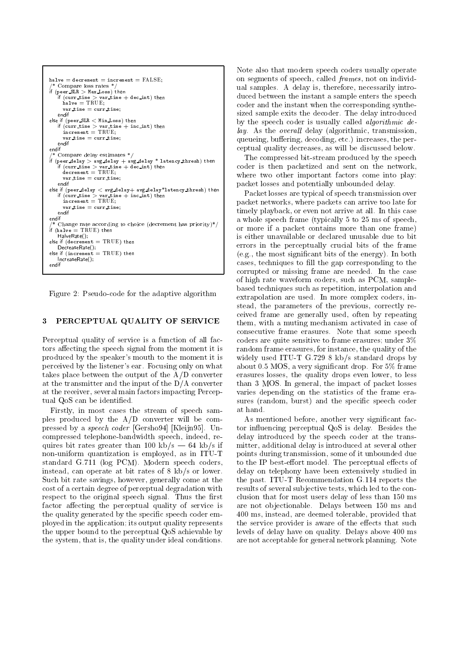```
halve = decrement = increment = FALSE; /* Compare loss rates */<br>if (peer_SLR > Max_Loss) then
if (curr time > var time + dec int) then<br>halve = TRUE;
     var time = currtime; else if (peer \texttt{SLR} < Min Loss) then
   if (curr time > var time + inc int) then
     \frac{1}{2} increment \frac{1}{2} . The \frac{1}{2}var time = currtime; endif
endif
f (peer delay > avg delay + avg delay * latency thresh) then<br>if (curr time > var time + dec int) then<br>decrement = TRUE;
     var time = currtime; else if (peer delay < avg delay+ avg delay*latency thresh) then \qquad\text{increment} = \text{TRUE};var time = currtime; endif<br>endif
 ^* Change rate according to choice (decrement has priority)*/
\int_{0}^{1} (halve = TRUE) then
else if (decrement = \text{TRUE}) then
else if (increment = TRUE) then
IncreaseRate();
```
Figure 2: Pseudo-code for the adaptive algorithm

#### PERCEPTUAL QUALITY OF SERVICE 3

Perceptual quality of service is a function of all factors affecting the speech signal from the moment it is produced by the speaker's mouth to the moment it is perceived by the listener's ear. Focusing only on what takes place between the output of the A/D converter at the transmitter and the input of the D/A converter at the receiver, several main factors impacting Perceptual QoS can be identified.

Firstly, in most cases the stream of speech samples produced by the A/D converter will be compressed by a speech coder [Gersho94] [Kleijn95]. Uncompressed telephone-bandwidth speech, indeed, requires bit rates greater than 100 kb/s  $-$  64 kb/s if non-uniform quantization isemployed, as in ITU-T standard G.711 (log PCM). Modern speech coders, instead, can operate at bit rates of 8 kb/s or lower. Such bit rate savings, however, generally come at the cost of a certain degree of perceptual degradation with respect to the original speech signal. Thus the first factor affecting the perceptual quality of service is the quality generated by the specific speech coder employed in the application; its output quality represents the upper bound to the perceptual QoS achievable by the system, that is, the quality under ideal conditions.

Note also that modern speech coders usually operate on segments of speech, called frames, not on individual samples. A delay is, therefore, necessarily introduced between the instant a sample enters the speech coder and the instant when the corresponding synthesized sample exits the decoder. The delay introduced by the speech coder is usually called algorithmic de $lay.$  As the *overall* delay (algorithmic, transmission, queueing, buffering, decoding, etc.) increases, the perceptual quality decreases, as will be discussed below.

The compressed bit-stream produced by the speech coder is then packetized and sent on the network, where two other important factors come into play: packet losses and potentially unbounded delay.

Packet losses are typical of speech transmission over packet networks, where packets can arrive too late for timely playback, or even not arrive at all. In this case a whole speech frame (typically 5 to 25 ms of speech, or more if a packet contains more than one frame) is either unavailable or declared unusable due to bit errors in the perceptually crucial bits of the frame (e.g., the most signicant bits of the energy). In both cases, techniques to fill the gap corresponding to the corrupted or missing frame are needed. In the case of high rate waveform coders, such as PCM, samplebased techniques such as repetition, interpolation and extrapolation are used. In more complex coders, instead, the parameters of the previous, correctly received frame are generally used, often by repeating them, with a muting mechanism activated in case of consecutive frame erasures. Note that some speech coders are quite sensitive to frame erasures; under 3% random frame erasures, for instance, the quality of the widely used ITU-T G.729 8 kb/s standard drops by about 0.5 MOS, a very signicant drop. For 5% frame erasures losses, the quality drops even lower, to less than 3 MOS. In general, the impact of packet losses varies depending on the statistics of the frame erasures (random, burst) and the specific speech coder at hand.

As mentioned before, another very significant factor influencing perceptual QoS is delay. Besides the delay introduced by the speech coder at the transmitter, additional delay is introduced at several other points during transmission, some of it unbounded due to the IP best-effort model. The perceptual effects of delay on telephony have been extensively studied in the past. ITU-T Recommendation G.114 reports the results of several subjective tests, which led to the conclusion that for most users delay of less than 150 ms are not ob jectionable. Delays between 150 ms and 400 ms, instead, are deemed tolerable, provided that the service provider is aware of the effects that such levels of delay have on quality. Delays above 400 ms are not acceptable for general network planning. Note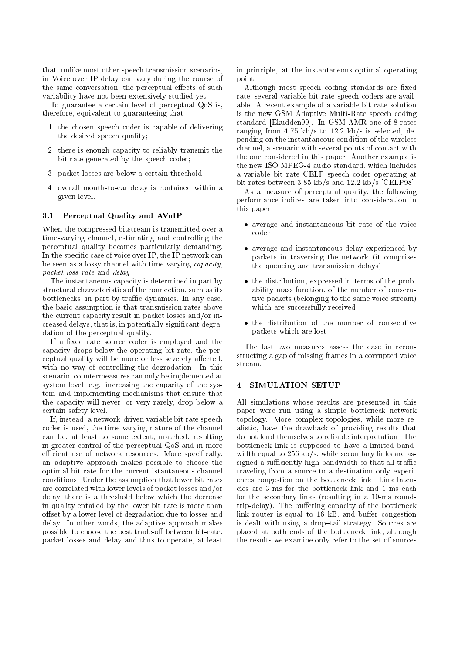that, unlike most other speech transmission scenarios, in Voice over IP delay can vary during the course of the same conversation; the perceptual effects of such variability have not been extensively studied yet.

To guarantee a certain level of perceptual QoS is, therefore, equivalent to guaranteeing that:

- 1. the chosen speech coder is capable of delivering the desired speech quality;
- 2. there is enough capacity to reliably transmit the bit rate generated by the speech coder;
- 3. packet losses are below a certain threshold;
- 4. overall mouth-to-ear delay is contained within a given level.

### 3.1 Perceptual Quality and AVoIP

When the compressed bitstream is transmitted over a time-varying channel, estimating and controlling the perceptual quality becomes particularly demanding. In the specific case of voice over IP, the IP network can be seen as a lossy channel with time-varying capacity, packet loss rate and delay.

The instantaneous capacity is determined in part by structural characteristics of the connection, such as its bottlenecks, in part by traffic dynamics. In any case, the basic assumption is that transmission rates above the current capacity result in packet losses and/or increased delays, that is, in potentially signicant degradation of the perceptual quality.

If a fixed rate source coder is employed and the capacity drops below the operating bit rate, the perceptual quality will be more or less severely affected, with no way of controlling the degradation. In this scenario, countermeasures can only be implemented at system level, e.g., increasing the capacity of the system andimplementing mechanisms that ensure that the capacity will never, or very rarely, drop below a certain safety level.

If, instead, a network-driven variable bit rate speech coder is used, the time-varying nature of the channel can be, at least to some extent, matched, resulting in greater control of the perceptual QoS and in more efficient use of network resources. More specifically, an adaptive approach makes possible to choose the optimal bit rate for the current istantaneous channel conditions. Under the assumption that lower bit rates are correlated with lower levels of packet losses and/or delay, there is a threshold below which the decrease in quality entailed by the lower bit rate is more than offset by a lower level of degradation due to losses and delay. In other words, the adaptive approach makes possible to choose the best trade-off between bit-rate, packet losses and delay and thus to operate, at least in principle, at the instantaneous optimal operating point.

Although most speech coding standards are fixed rate, several variable bit rate speech coders are available. A recent example of a variable bit rate solution is the new GSM Adaptive Multi-Rate speech coding standard [Ekudden99]. In GSM-AMR one of 8 rates ranging from 4.75 kb/s to 12.2 kb/s is selected, depending on the instantaneous condition of the wireless channel, a scenario with several points of contact with the one considered in this paper. Another example is the new ISO MPEG-4 audio standard, which includes a variable bit rate CELP speech coder operating at bit rates between 3.85 kb/s and 12.2 kb/s [CELP98].

As a measure of perceptual quality, the following performance indices are taken into consideration in this paper:

- average and instantaneous bit rate of the voice coder
- average and instantaneous delay experienced by packets in traversing the network (it comprises the queueing and transmission delays)
- the distribution, expressed in terms of the probability mass function, of the number of consecutive packets (belonging to the same voice stream) which are successfully received
- the distribution of the number of consecutive packets which are lost

The last two measures assess the ease in reconstructing a gap of missing frames in a corrupted voice stream.

#### $\overline{4}$ SIMULATION SETUP

All simulations whose results are presented in this paper were run using a simple bottleneck network topology. More complex topologies, while more realistic, have the drawback of providing results that do not lend themselves to reliable interpretation. The bottleneck link is supposed to have a limited bandwidth equal to 256 kb/s, while secondary links are assigned a sufficiently high bandwidth so that all traffic traveling from a source to a destination only experiences congestion on the bottleneck link. Link latencies are 3 ms for the bottleneck link and 1 ms each for the secondary links (resulting in a 10-ms roundtrip-delay). The buffering capacity of the bottleneck link router is equal to  $16$  kB, and buffer congestion is dealt with using a drop-tail strategy. Sources are placed at both ends of the bottleneck link, although the results we examine only refer to the set of sources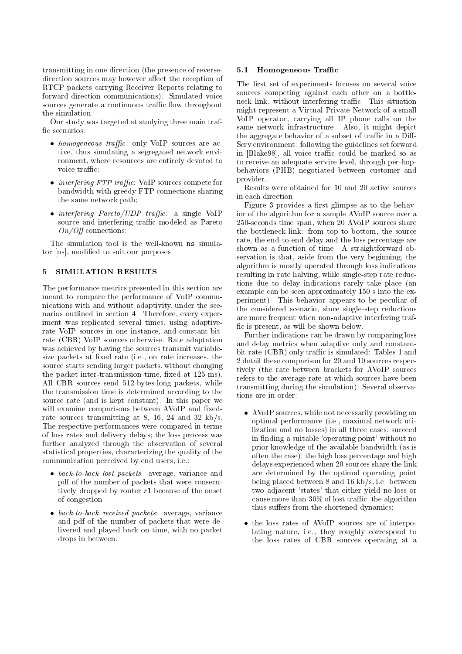transmitting in one direction (the presence of reversedirection sources may however affect the reception of RTCP packets carrying Receiver Reports relating to forward-direction communications). Simulated voice sources generate a continuous traffic flow throughout the simulation.

Our study was targeted at studying three main traf fic scenarios:

- $\bullet$  homogeneous traffic: only VoIP sources are active, thus simulating a segregated network environment, where resources are entirely devoted to voice traffic;
- $\bullet$  *interfering FTP traffic*: VoIP sources compete for bandwidth with greedy FTP connections sharing heath in each direction. the same network path;
- $\bullet$  interfering Pareto/UDP traffic: a single VoIP source and interfering traffic modeled as Pareto  $On/Off$  connections;

The simulation tool is the well-known ns simulator [ns], modied to suit our purposes.

#### 5 SIMULATION RESULTS  $\mathbf{5}$

The performance metrics presented in this section are meant to compare the performance of VoIP communications with and without adaptivity, under the scenarios outlined in section 4. Therefore, every experiment was replicated several times, using adaptiverate VoIP sources in one instance, and constant-bitrate (CBR) VoIP sources otherwise. Rate adaptation was achieved by having the sources transmit variablesize packets at fixed rate (i.e., on rate increases, the source starts sending larger packets, without changing the packet inter-transmission time, fixed at  $125 \text{ ms}$ ). All CBR sources send 512-bytes-long packets, while the transmission time is determined according to the source rate (and is kept constant). In this paper we will examine comparisons between AVoIP and fixedrate sources transmitting at 8, 16, 24 and 32 kb/s. The respective performances were compared in terms of loss rates and delivery delays; the loss process was further analyzed through the observation of several statistical properties, characterizing the quality of the communication perceived by end users, i.e.:

- back-to-back lost packets: average, variance and pdf of the number of packets that were consecutively dropped by router  $r1$  because of the onset of congestion.
- back-to-back received packets: average, variance and pdf of the number of packets that were delivered and played back on time, with no packet drops in between.

#### 5.1 Homogeneous Traffic

The first set of experiments focuses on several voice sources competing against each other on a bottleneck link, without interfering traffic. This situation might represent a Virtual Private Network of a small VoIP operator, carrying all IP phone calls on the same network infrastructure. Also, it might depict the aggregate behavior of a subset of traffic in a Diff-Serv environment: following the guidelines set forward in [Blake98], all voice traffic could be marked so as to receive an adequate service level, through per-hopbehaviors (PHB) negotiated between customer and provider.

Results were obtained for 10 and 20 active sources

Figure 3 provides a first glimpse as to the behavior of the algorithm for a sample AVoIP source over a 250-seconds time span, when 20 AVoIP sources share the bottleneck link: from top to bottom, the source rate, the end-to-end delay and the loss percentage are shown as a function of time. A straightforward observation is that, aside from the very beginning, the algorithm is mostly operated through loss indications resulting in rate halving, while single-step rate reductions due to delay indications rarely take place (an example can be seen approximately 150 s into the experiment). This behavior appears to be peculiar of the considered scenario, since single-step reductions are more frequent when non-adaptive interfering traf fic is present, as will be shown below.

Further indications can be drawn by comparing loss and delay metrics when adaptive only and constantbit-rate (CBR) only traffic is simulated: Tables 1 and 2 detail these comparison for 20 and 10 sources respectively (the rate between brackets for AVoIP sources refers to the average rate at which sources have been transmitting during the simulation). Several observations are in order:

- AVoIP sources, while not necessarily providing an optimal performance (i.e., maximal network utilization and no losses) in all three cases, succeed in finding a suitable 'operating point' without no prior knowledge of the available bandwidth (as is often the case); the high loss percentage and high delays experienced when 20 sources share the link are determined by the optimal operating point being placed between 8 and 16 kb/s, i.e. between two adjacent 'states' that either yield no loss or cause more than  $30\%$  of lost traffic; the algorithm thus suffers from the shortened dynamics;
- the loss rates of AVoIP sources are of interpolating nature, i.e., they roughly correspond to the loss rates of CBR sources operating at a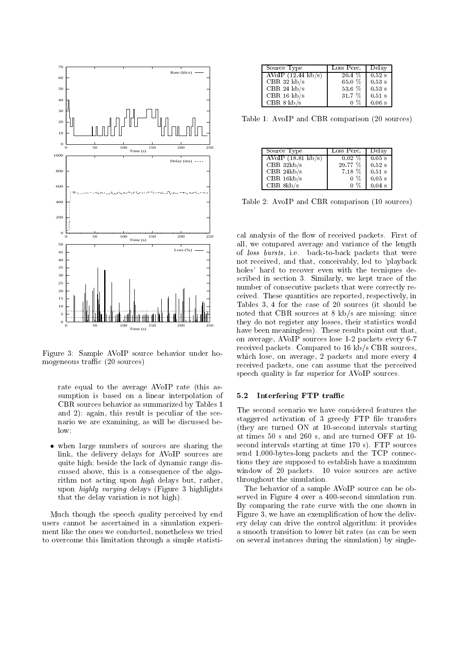

Figure 3: Sample AVoIP source behavior under homogeneous traffic  $(20 \text{ sources})$ 

rate equal to the average AVoIP rate (this assumption is based on a linear interpolation of CBR sources behavior as summarized by Tables 1 and 2); again, this result is peculiar of the scenario we are examining, as will be discussed be $low:$ low; and the contract of the contract of the contract of the contract of the contract of the contract of the c

 when large numbers of sources are sharing the link, the delivery delays for AVoIP sources are quite high; beside the lack of dynamic range discussed above, this is a consequence of the algorithm not acting upon high delays but, rather, upon highly varying delays (Figure 3 highlights that the delay variation is not high).

Much though the speech quality perceived by end users cannot be ascertained in a simulation experiment like the ones we conducted, nonetheless we tried to overcome this limitation through a simple statisti-

| Source Type                  | Loss Perc. | Delay    |
|------------------------------|------------|----------|
| AVoIP $(12.44 \text{ kb/s})$ | $20.4~\%$  | $0.52$ s |
| CBR 32 $kb/s$                | $65.0\%$   | $0.53$ s |
| CBR 24 $kb/s$                | $53.6\%$   | $0.53$ s |
| CBR $16 \text{ kb/s}$        | $31.7~\%$  | $0.51$ s |
| CBR 8 k b/s                  | $0\%$      | 0.06 s   |

Table 1: AvoIP and CBR comparison (20 sources)

| – Source Type                          | Loss Perc. | Delay    |
|----------------------------------------|------------|----------|
| $\overline{\text{AVoIP}}$ (18.81 kb/s) | $0.02\%$   | $0.05$ s |
| CBR $32kb/s$                           | $29.77\%$  | $0.52$ s |
| CBR $24kb/s$                           | $7.18\%$   | $0.51$ s |
| CBR $16kb/s$                           | $0\%$      | $0.05$ s |
| CBR $8kb/s$                            | $0\%$      | $0.04$ s |

Table 2: AvoIP and CBR comparison (10 sources)

cal analysis of the flow of received packets. First of all, we compared average and variance of the length of loss bursts, i.e. back-to-back packets that were not received, and that, conceivably, led to 'playback holes' hard to recover even with the tecniques described in section 3. Similarly, we kept trace of the number of consecutive packets that were correctly received. These quantities are reported, respectively, in Tables 3, 4 for the case of 20 sources (it should be noted that CBR sources at 8 kb/s are missing: since they do not register any losses, their statistics would have been meaningless). These results point out that, on average, AVoIP sources lose 1-2 packets every 6-7 received packets. Compared to 16 kb/s CBR sources, which lose, on average, 2 packets and more every 4 received packets, one can assume that the perceived speech quality is far superior for AVoIP sources.

#### 5.2 Interfering FTP traffic

The second scenario we have considered features the staggered activation of 3 greedy FTP file transfers (they are turned ON at 10-second intervals starting at times 50 s and 260 s, and are turned OFF at 10 second intervals starting at time 170 s). FTP sources send 1,000-bytes-long packets and the TCP connections they are supposed to establish have a maximum window of 20 packets. 10 voice sources are active throughout the simulation.

The behavior of a sample AVoIP source can be observed in Figure 4 over a 400-second simulation run. By comparing the rate curve with the one shown in Figure 3, we have an exemplication of how the delivery delay can drive the control algorithm: it provides a smooth transition to lower bit rates (as can be seen on several instances during the simulation) by single-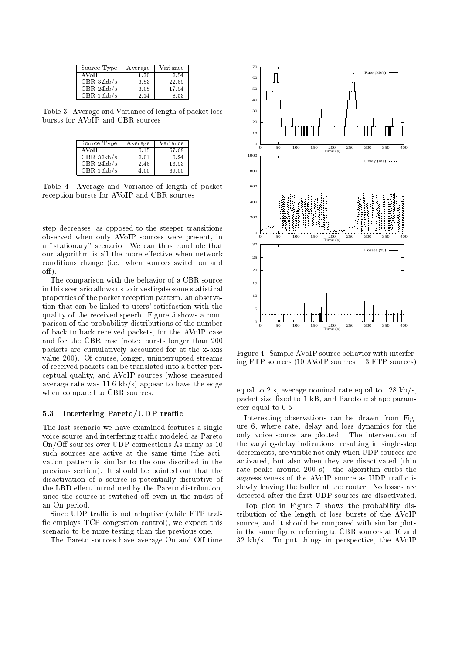| Source Type  | Average | Variance |
|--------------|---------|----------|
| AVoIP        | 1.70    | 2.54     |
| CBR32kb/s    | 3.83    | 22.69    |
| CBR $24kb/s$ | 3.08    | 17.94    |
| CBR $16kb/s$ | 2.14    | 8.53     |

Table 3: Average and Variance of length of packet loss bursts for AVoIP and CBR sources

| Source Type  | Average | Variance |
|--------------|---------|----------|
| AVoIP        | 6.15    | 57.68    |
| CBR $32kb/s$ | 2.01    | 6.24     |
| CBR $24kb/s$ | 2.46    | 16.93    |
| CBR $16kb/s$ | 4.00    | 39.00    |

Table 4: Average and Variance of length of packet reception bursts for AVoIP and CBR sources

step decreases, as opposed to the steeper transitions observed when only AVoIP sources were present, in a "stationary" scenario. We can thus conclude that our algorithm is all the more effective when network conditions change (i.e. when sources switch on and  $\text{off}$ ).

The comparison with the behavior of a CBR source in this scenario allows us to investigate some statistical properties of the packet reception pattern, an observation that can be linked to users' satisfaction with the quality of the received speech. Figure 5 shows a comparison of the probability distributions of the number of back-to-back received packets, for the AVoIP case and for the CBR case (note: bursts longer than 200 packets are cumulatively accounted for at the x-axis value 200). Of course, longer, uninterrupted streams of received packets can be translated into a better perceptual quality, and AVoIP sources (whose measured average rate was 11.6 kb/s) appear to have the edge when compared to CBR sources.

#### 5.3 Interfering Pareto/UDP traffic

The last scenario we have examined features a single voice source and interfering traffic modeled as Pareto  $On/Off$  sources over UDP connections As many as 10 such sources are active at the same time (the acti vation pattern is similar to the one discribed in the previous section). It should be pointed out that the disactivation of a source is potentially disruptive of the LRD effect introduced by the Pareto distribution, since the source is switched off even in the midst of an On period.

Since UDP traffic is not adaptive (while FTP traffic employs  $TCP$  congestion control), we expect this scenario to be more testing than the previous one.

The Pareto sources have average On and Off time



Figure 4: Sample AVoIP source behavior with interfering FTP sources  $(10 \text{ AVoIP sources} + 3 \text{ FTP sources})$ 

equal to 2 s, average nominal rate equal to  $128 \text{ kb/s}$ , packet size fixed to 1 kB, and Pareto  $\alpha$  shape parameter equal to 0.5.

Interesting observations can be drawn from Figure 6, where rate, delay and loss dynamics for the only voice source are plotted. The intervention of the varying-delay indications, resulting in single-step decrements, are visible not only when UDP sources are activated, but also when they are disactivated (thin rate peaks around 200 s): the algorithm curbs the aggressiveness of the AVoIP source as UDP traffic is slowly leaving the buffer at the router. No losses are detected after the first UDP sources are disactivated.

Top plot in Figure 7 shows the probability distribution of the length of loss bursts of the AVoIP source, and it should be compared with similar plots in the same figure referring to CBR sources at 16 and 32 kb/s. To put things in perspective, the AVoIP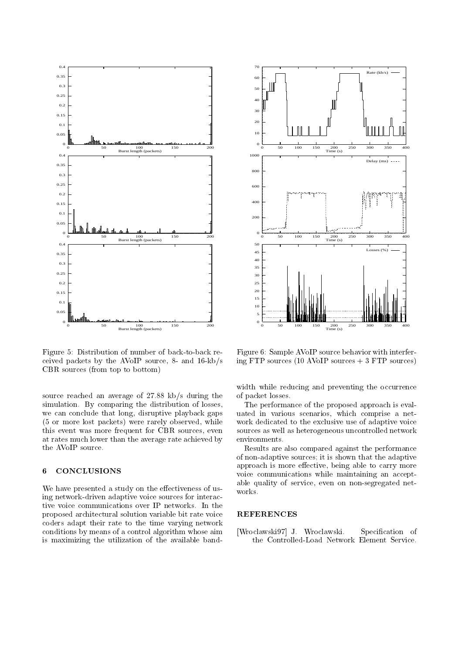

Figure 5: Distribution of number of back-to-back received packets by the AVoIP source, 8- and 16-kb/s CBR sources (from top to bottom)

source reached an average of 27.88 kb/s during the simulation. By comparing the distribution of losses, we can conclude that long, disruptive playback gaps (5 or more lost packets) were rarely observed, while this event was more frequent for CBR sources, even at rates much lower than the average rate achieved by the AVoIP source.

#### **CONCLUSIONS** 6

We have presented a study on the effectiveness of using network-driven adaptive voice sources for interactive voice communications over IP networks. In the proposed architectural solution variable bit rate voice coders adapt their rate to the time varying network conditions by means of a control algorithm whose aim is maximizing the utilization of the available band-



Figure 6: Sample AVoIP source behavior with interfering FTP sources  $(10 \text{ AVoIP sources} + 3 \text{ FTP sources})$ 

width while reducing and preventing the occurrence of packet losses.

The performance of the proposed approach is evaluated in various scenarios, which comprise a net work dedicated to the exclusive use of adaptive voice sources as well as heterogeneous uncontrolled network environments.

Results are also compared against the performance of non-adaptive sources; it is shown that the adaptive approach is more effective, being able to carry more voice communications while maintaining an acceptable quality of service, even on non-segregated net works.

### REFERENCES

[Wroclawski97] J. Wroclawski. Specification of the Controlled-Load Network Element Service.